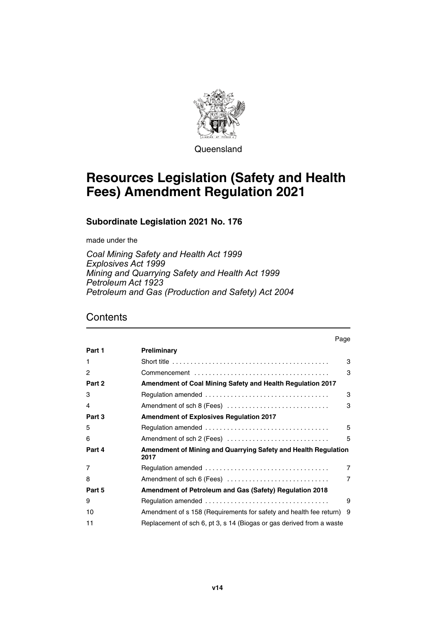

**Queensland** 

# **Resources Legislation (Safety and Health Fees) Amendment Regulation 2021**

**Subordinate Legislation 2021 No. 176**

made under the

*Coal Mining Safety and Health Act 1999 Explosives Act 1999 Mining and Quarrying Safety and Health Act 1999 Petroleum Act 1923 Petroleum and Gas (Production and Safety) Act 2004*

### **Contents**

|        | Page                                                                          |                |
|--------|-------------------------------------------------------------------------------|----------------|
| Part 1 | Preliminary                                                                   |                |
|        |                                                                               | 3              |
| 2      |                                                                               | 3              |
| Part 2 | <b>Amendment of Coal Mining Safety and Health Regulation 2017</b>             |                |
| 3      |                                                                               | 3              |
| 4      | Amendment of sch 8 (Fees)                                                     | 3              |
| Part 3 | <b>Amendment of Explosives Regulation 2017</b>                                |                |
| 5      |                                                                               | 5              |
| 6      | Amendment of sch 2 (Fees)                                                     | 5              |
| Part 4 | <b>Amendment of Mining and Quarrying Safety and Health Regulation</b><br>2017 |                |
| 7      |                                                                               | $\overline{7}$ |
| 8      | Amendment of sch 6 (Fees)                                                     | $\overline{7}$ |
| Part 5 | Amendment of Petroleum and Gas (Safety) Regulation 2018                       |                |
| 9      |                                                                               | 9              |
| 10     | Amendment of s 158 (Requirements for safety and health fee return) 9          |                |
| 11     | Replacement of sch 6, pt 3, s 14 (Biogas or gas derived from a waste          |                |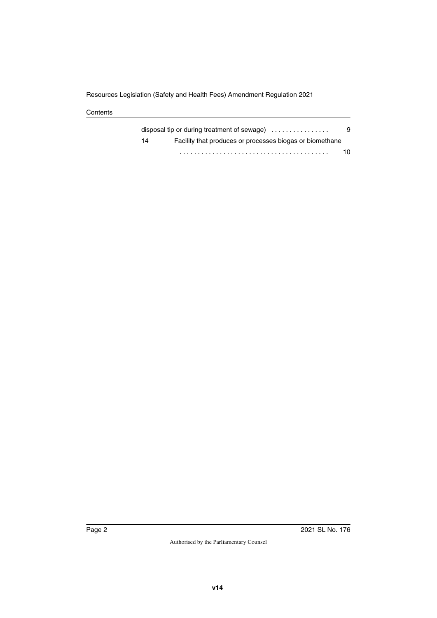**Contents** 

|    | disposal tip or during treatment of sewage) $\ldots$     | 9  |
|----|----------------------------------------------------------|----|
| 14 | Facility that produces or processes biogas or biomethane |    |
|    |                                                          | 10 |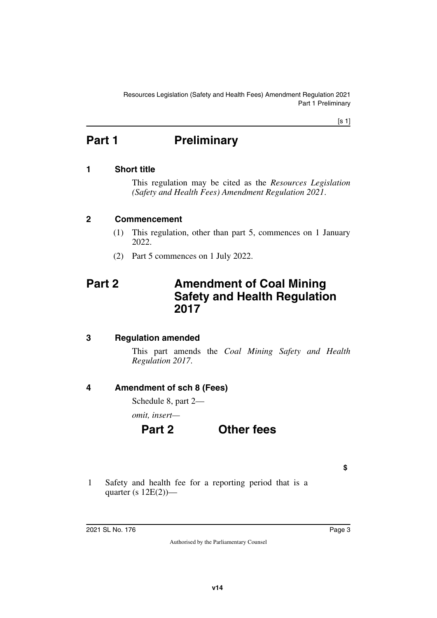[s 1]

# <span id="page-2-0"></span>**Part 1** Preliminary

### <span id="page-2-2"></span>**1 Short title**

<span id="page-2-3"></span><span id="page-2-1"></span>This regulation may be cited as the *Resources Legislation (Safety and Health Fees) Amendment Regulation 2021*.

### <span id="page-2-4"></span>**2 Commencement**

- <span id="page-2-5"></span>(1) This regulation, other than part 5, commences on 1 January 2022.
- <span id="page-2-7"></span>(2) Part 5 commences on 1 July 2022.

## <span id="page-2-6"></span>**Part 2 Amendment of Coal Mining Safety and Health Regulation 2017**

### <span id="page-2-8"></span>**3 Regulation amended**

<span id="page-2-9"></span>This part amends the *Coal Mining Safety and Health Regulation 2017*.

### <span id="page-2-10"></span>**4 Amendment of sch 8 (Fees)**

<span id="page-2-11"></span>Schedule 8, part 2—

*omit, insert—*

## **Part 2 Other fees**

**\$**

1 Safety and health fee for a reporting period that is a quarter (s  $12E(2)$ )—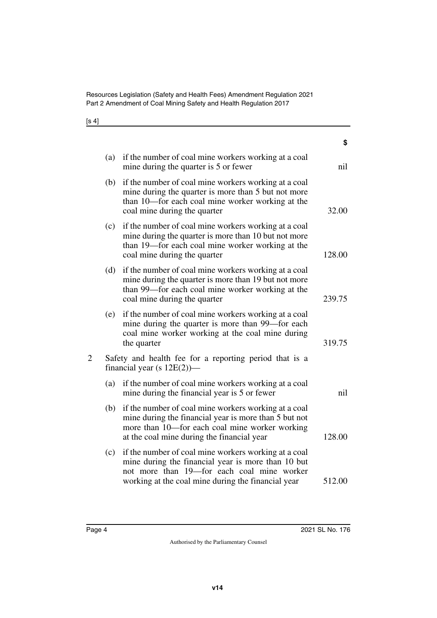Resources Legislation (Safety and Health Fees) Amendment Regulation 2021 Part 2 Amendment of Coal Mining Safety and Health Regulation 2017

[s 4]

|                |     |                                                                                                                                                                                                               | ১      |
|----------------|-----|---------------------------------------------------------------------------------------------------------------------------------------------------------------------------------------------------------------|--------|
|                | (a) | if the number of coal mine workers working at a coal<br>mine during the quarter is 5 or fewer                                                                                                                 | nil    |
|                | (b) | if the number of coal mine workers working at a coal<br>mine during the quarter is more than 5 but not more<br>than 10—for each coal mine worker working at the<br>coal mine during the quarter               | 32.00  |
|                | (c) | if the number of coal mine workers working at a coal<br>mine during the quarter is more than 10 but not more<br>than 19—for each coal mine worker working at the<br>coal mine during the quarter              | 128.00 |
|                | (d) | if the number of coal mine workers working at a coal<br>mine during the quarter is more than 19 but not more<br>than 99—for each coal mine worker working at the<br>coal mine during the quarter              | 239.75 |
|                | (e) | if the number of coal mine workers working at a coal<br>mine during the quarter is more than 99—for each<br>coal mine worker working at the coal mine during<br>the quarter                                   | 319.75 |
| $\overline{2}$ |     | Safety and health fee for a reporting period that is a<br>financial year (s $12E(2)$ )—                                                                                                                       |        |
|                | (a) | if the number of coal mine workers working at a coal<br>mine during the financial year is 5 or fewer                                                                                                          | nil    |
|                | (b) | if the number of coal mine workers working at a coal<br>mine during the financial year is more than 5 but not<br>more than 10-for each coal mine worker working<br>at the coal mine during the financial year | 128.00 |
|                | (c) | if the number of coal mine workers working at a coal<br>mine during the financial year is more than 10 but<br>not more than 19-for each coal mine worker                                                      |        |
|                |     | working at the coal mine during the financial year                                                                                                                                                            | 512.00 |

**\$**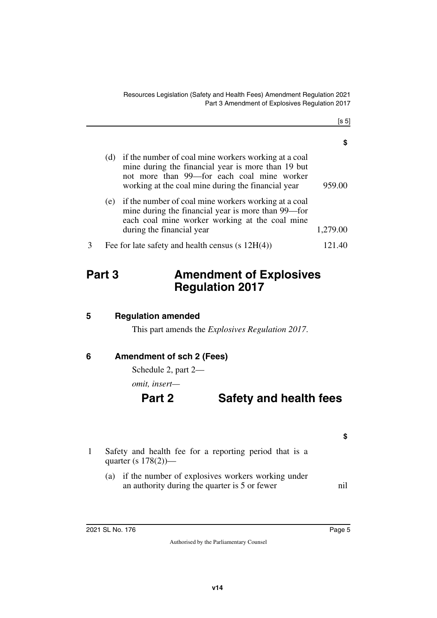[s 5]

|   | (d) | if the number of coal mine workers working at a coal<br>mine during the financial year is more than 19 but<br>not more than 99—for each coal mine worker<br>working at the coal mine during the financial year | 959.00   |
|---|-----|----------------------------------------------------------------------------------------------------------------------------------------------------------------------------------------------------------------|----------|
|   | (e) | if the number of coal mine workers working at a coal<br>mine during the financial year is more than 99—for<br>each coal mine worker working at the coal mine<br>during the financial year                      | 1,279.00 |
| 3 |     | Fee for late safety and health census $(s 12H(4))$                                                                                                                                                             | 121.40   |

# <span id="page-4-0"></span>**Part 3 Amendment of Explosives Regulation 2017**

<span id="page-4-2"></span>**5 Regulation amended**

<span id="page-4-5"></span><span id="page-4-3"></span><span id="page-4-1"></span>This part amends the *Explosives Regulation 2017*.

### <span id="page-4-4"></span>**6 Amendment of sch 2 (Fees)**

Schedule 2, part 2—

*omit, insert—*

### **Part 2 Safety and health fees**

- **\$**
- 1 Safety and health fee for a reporting period that is a quarter (s 178(2))—
	- (a) if the number of explosives workers working under an authority during the quarter is 5 or fewer nil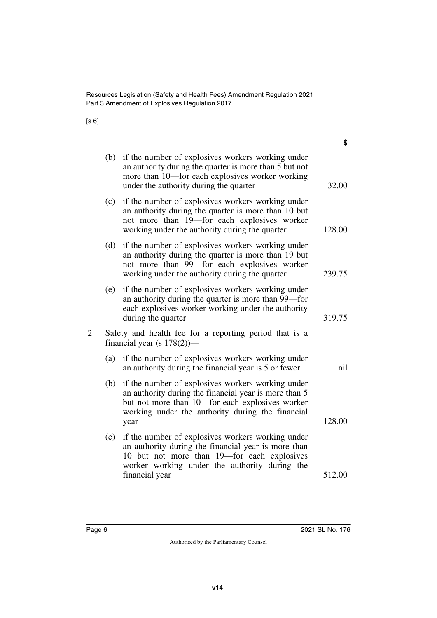Resources Legislation (Safety and Health Fees) Amendment Regulation 2021 Part 3 Amendment of Explosives Regulation 2017

[s 6]

| \$     |                                                                                                                                                                                                                           |     |
|--------|---------------------------------------------------------------------------------------------------------------------------------------------------------------------------------------------------------------------------|-----|
| 32.00  | if the number of explosives workers working under<br>(b)<br>an authority during the quarter is more than 5 but not<br>more than 10—for each explosives worker working<br>under the authority during the quarter           |     |
| 128.00 | if the number of explosives workers working under<br>(c)<br>an authority during the quarter is more than 10 but<br>not more than 19-for each explosives worker<br>working under the authority during the quarter          |     |
| 239.75 | if the number of explosives workers working under<br>(d)<br>an authority during the quarter is more than 19 but<br>not more than 99—for each explosives worker<br>working under the authority during the quarter          |     |
| 319.75 | if the number of explosives workers working under<br>(e)<br>an authority during the quarter is more than 99-for<br>each explosives worker working under the authority<br>during the quarter                               |     |
|        | Safety and health fee for a reporting period that is a<br>financial year (s $178(2)$ )—                                                                                                                                   | 2   |
| nil    | if the number of explosives workers working under<br>an authority during the financial year is 5 or fewer                                                                                                                 | (a) |
| 128.00 | if the number of explosives workers working under<br>an authority during the financial year is more than 5<br>but not more than 10-for each explosives worker<br>working under the authority during the financial<br>year | (b) |
|        | if the number of explosives workers working under<br>an authority during the financial year is more than<br>10 but not more than 19-for each explosives<br>worker working under the authority during the                  | (c) |
| 512.00 | financial year                                                                                                                                                                                                            |     |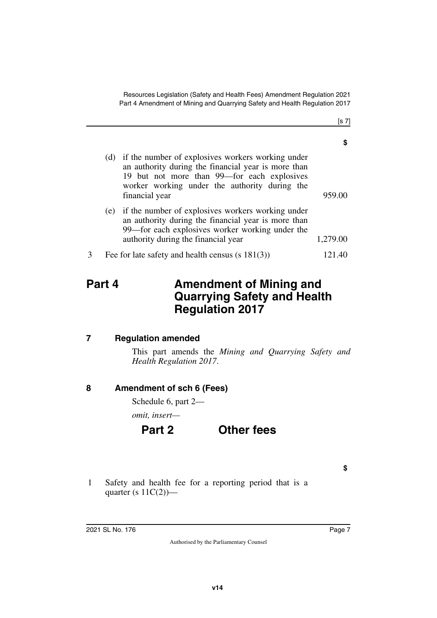Resources Legislation (Safety and Health Fees) Amendment Regulation 2021 Part 4 Amendment of Mining and Quarrying Safety and Health Regulation 2017

| (d) | if the number of explosives workers working under<br>an authority during the financial year is more than<br>19 but not more than 99—for each explosives<br>worker working under the authority during the<br>financial year | 959.00   |
|-----|----------------------------------------------------------------------------------------------------------------------------------------------------------------------------------------------------------------------------|----------|
| (e) | if the number of explosives workers working under<br>an authority during the financial year is more than<br>99—for each explosives worker working under the<br>authority during the financial year                         | 1,279.00 |
|     | Fee for late safety and health census $(s 181(3))$                                                                                                                                                                         | 121 40   |

## <span id="page-6-1"></span><span id="page-6-0"></span>**Part 4 Amendment of Mining and Quarrying Safety and Health Regulation 2017**

### <span id="page-6-2"></span>**7 Regulation amended**

<span id="page-6-3"></span>This part amends the *Mining and Quarrying Safety and Health Regulation 2017*.

### <span id="page-6-4"></span>**8 Amendment of sch 6 (Fees)**

<span id="page-6-5"></span>Schedule 6, part 2—

*omit, insert—*

## **Part 2 Other fees**

**\$**

1 Safety and health fee for a reporting period that is a quarter (s  $11C(2)$ )—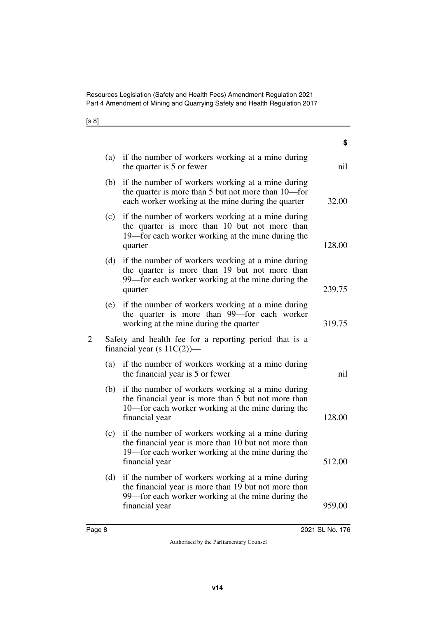Resources Legislation (Safety and Health Fees) Amendment Regulation 2021 Part 4 Amendment of Mining and Quarrying Safety and Health Regulation 2017

[s 8]

| ১      |                                                                                                                                                                                  |                |
|--------|----------------------------------------------------------------------------------------------------------------------------------------------------------------------------------|----------------|
| nil    | (a) if the number of workers working at a mine during<br>the quarter is 5 or fewer                                                                                               |                |
| 32.00  | if the number of workers working at a mine during<br>the quarter is more than 5 but not more than 10-for<br>each worker working at the mine during the quarter                   | (b)            |
| 128.00 | if the number of workers working at a mine during<br>the quarter is more than 10 but not more than<br>19—for each worker working at the mine during the<br>quarter               | (c)            |
| 239.75 | if the number of workers working at a mine during<br>the quarter is more than 19 but not more than<br>99—for each worker working at the mine during the<br>quarter               | (d)            |
| 319.75 | if the number of workers working at a mine during<br>the quarter is more than 99-for each worker<br>working at the mine during the quarter                                       | (e)            |
|        | Safety and health fee for a reporting period that is a<br>financial year (s $11C(2)$ )—                                                                                          | $\overline{2}$ |
| nil    | if the number of workers working at a mine during<br>the financial year is 5 or fewer                                                                                            | (a)            |
| 128.00 | if the number of workers working at a mine during<br>the financial year is more than 5 but not more than<br>10—for each worker working at the mine during the<br>financial year  | (b)            |
| 512.00 | if the number of workers working at a mine during<br>the financial year is more than 10 but not more than<br>19—for each worker working at the mine during the<br>financial year | (c)            |
| 959.00 | if the number of workers working at a mine during<br>the financial year is more than 19 but not more than<br>99—for each worker working at the mine during the<br>financial year | (d)            |
|        |                                                                                                                                                                                  |                |

**\$**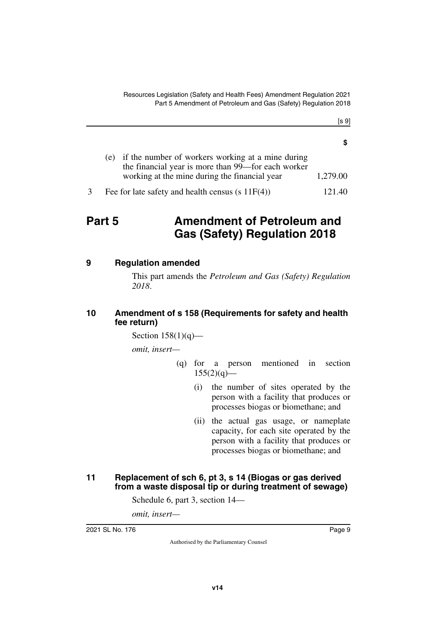[s 9]

| r                      |  |
|------------------------|--|
| 5<br>۰<br>×<br>۰.<br>× |  |

| (e) if the number of workers working at a mine during |          |
|-------------------------------------------------------|----------|
| the financial year is more than 99—for each worker    |          |
| working at the mine during the financial year         | 1,279.00 |
|                                                       |          |

3 Fee for late safety and health census (s 11F(4)) 121.40

# <span id="page-8-0"></span>**Part 5** Amendment of Petroleum and **Gas (Safety) Regulation 2018**

### <span id="page-8-2"></span>**9 Regulation amended**

<span id="page-8-3"></span><span id="page-8-1"></span>This part amends the *Petroleum and Gas (Safety) Regulation 2018*.

#### <span id="page-8-5"></span><span id="page-8-4"></span>**10 Amendment of s 158 (Requirements for safety and health fee return)**

Section  $158(1)(q)$ —

*omit, insert—*

- (q) for a person mentioned in section  $155(2)(q)$ —
	- (i) the number of sites operated by the person with a facility that produces or processes biogas or biomethane; and
	- (ii) the actual gas usage, or nameplate capacity, for each site operated by the person with a facility that produces or processes biogas or biomethane; and

#### <span id="page-8-7"></span><span id="page-8-6"></span>**11 Replacement of sch 6, pt 3, s 14 (Biogas or gas derived from a waste disposal tip or during treatment of sewage)**

Schedule 6, part 3, section 14—

*omit, insert—*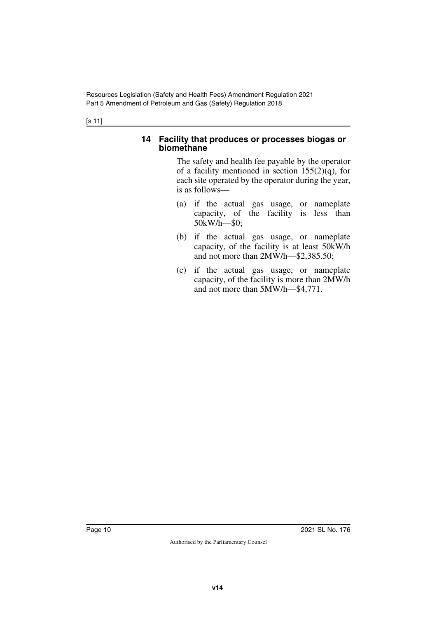Resources Legislation (Safety and Health Fees) Amendment Regulation 2021 Part 5 Amendment of Petroleum and Gas (Safety) Regulation 2018

[s 11]

#### <span id="page-9-1"></span><span id="page-9-0"></span>**14 Facility that produces or processes biogas or biomethane**

The safety and health fee payable by the operator of a facility mentioned in section  $155(2)(q)$ , for each site operated by the operator during the year, is as follows—

- (a) if the actual gas usage, or nameplate capacity, of the facility is less than 50kW/h—\$0;
- (b) if the actual gas usage, or nameplate capacity, of the facility is at least 50kW/h and not more than 2MW/h—\$2,385.50;
- (c) if the actual gas usage, or nameplate capacity, of the facility is more than 2MW/h and not more than 5MW/h—\$4,771.